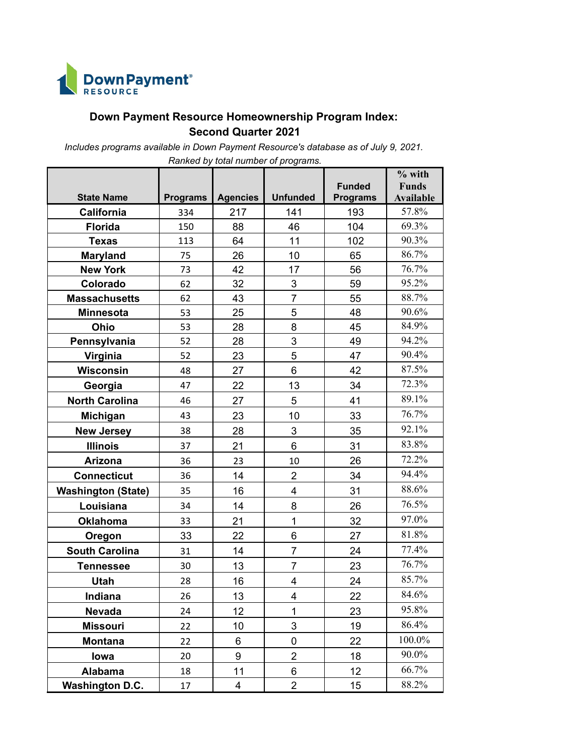

## **Down Payment Resource Homeownership Program Index: Second Quarter 2021**

*Includes programs available in Down Payment Resource's database as of July 9, 2021.* 

|                           |                 |                 |                           |                 | $%$ with         |
|---------------------------|-----------------|-----------------|---------------------------|-----------------|------------------|
|                           |                 |                 |                           | <b>Funded</b>   | <b>Funds</b>     |
| <b>State Name</b>         | <b>Programs</b> | <b>Agencies</b> | <b>Unfunded</b>           | <b>Programs</b> | <b>Available</b> |
| California                | 334             | 217             | 141                       | 193             | 57.8%            |
| <b>Florida</b>            | 150             | 88              | 46                        | 104             | 69.3%            |
| <b>Texas</b>              | 113             | 64              | 11                        | 102             | 90.3%            |
| <b>Maryland</b>           | 75              | 26              | 10                        | 65              | 86.7%            |
| <b>New York</b>           | 73              | 42              | 17                        | 56              | 76.7%            |
| Colorado                  | 62              | 32              | 3                         | 59              | 95.2%            |
| <b>Massachusetts</b>      | 62              | 43              | $\overline{7}$            | 55              | 88.7%            |
| <b>Minnesota</b>          | 53              | 25              | 5                         | 48              | 90.6%            |
| Ohio                      | 53              | 28              | 8                         | 45              | 84.9%            |
| Pennsylvania              | 52              | 28              | 3                         | 49              | 94.2%            |
| Virginia                  | 52              | 23              | 5                         | 47              | 90.4%            |
| <b>Wisconsin</b>          | 48              | 27              | 6                         | 42              | 87.5%            |
| Georgia                   | 47              | 22              | 13                        | 34              | 72.3%            |
| <b>North Carolina</b>     | 46              | 27              | 5                         | 41              | 89.1%            |
| Michigan                  | 43              | 23              | 10                        | 33              | 76.7%            |
| <b>New Jersey</b>         | 38              | 28              | 3                         | 35              | 92.1%            |
| <b>Illinois</b>           | 37              | 21              | 6                         | 31              | 83.8%            |
| <b>Arizona</b>            | 36              | 23              | 10                        | 26              | 72.2%            |
| <b>Connecticut</b>        | 36              | 14              | $\overline{2}$            | 34              | 94.4%            |
| <b>Washington (State)</b> | 35              | 16              | 4                         | 31              | 88.6%            |
| Louisiana                 | 34              | 14              | 8                         | 26              | 76.5%            |
| <b>Oklahoma</b>           | 33              | 21              | $\mathbf{1}$              | 32              | 97.0%            |
| Oregon                    | 33              | 22              | 6                         | 27              | 81.8%            |
| <b>South Carolina</b>     | 31              | 14              | $\overline{7}$            | 24              | 77.4%            |
| <b>Tennessee</b>          | 30              | 13              | $\overline{7}$            | 23              | 76.7%            |
| <b>Utah</b>               | 28              | 16              | 4                         | 24              | 85.7%            |
| <b>Indiana</b>            | 26              | 13              | 4                         | 22              | 84.6%            |
| <b>Nevada</b>             | 24              | 12              | 1                         | 23              | 95.8%            |
| <b>Missouri</b>           | 22              | 10              | $\ensuremath{\mathsf{3}}$ | 19              | 86.4%            |
| <b>Montana</b>            | 22              | 6               | 0                         | 22              | 100.0%           |
| lowa                      | 20              | 9               | $\overline{2}$            | 18              | 90.0%            |
| Alabama                   | 18              | 11              | 6                         | 12              | 66.7%            |
| <b>Washington D.C.</b>    | 17              | 4               | $\overline{2}$            | 15              | 88.2%            |

*Ranked by total number of programs.*